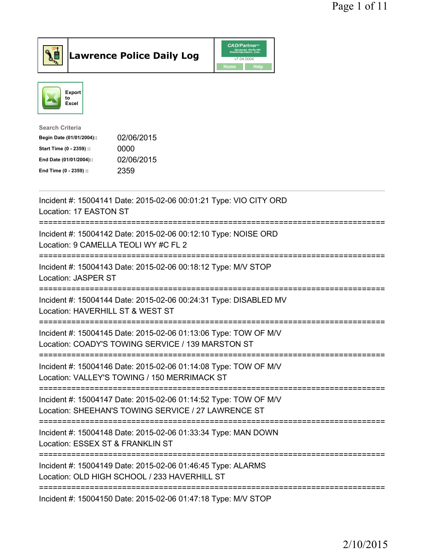

Lawrence Police Daily Log CAD/Partner



| <b>Search Criteria</b>    |            |
|---------------------------|------------|
| Begin Date (01/01/2004):: | 02/06/2015 |
| Start Time (0 - 2359) ::  | 0000       |
| End Date (01/01/2004)::   | 02/06/2015 |
| End Time (0 - 2359) ::    | 2359       |
|                           |            |

| Incident #: 15004141 Date: 2015-02-06 00:01:21 Type: VIO CITY ORD<br>Location: 17 EASTON ST                                                         |
|-----------------------------------------------------------------------------------------------------------------------------------------------------|
| Incident #: 15004142 Date: 2015-02-06 00:12:10 Type: NOISE ORD<br>Location: 9 CAMELLA TEOLI WY #C FL 2<br>========================                  |
| Incident #: 15004143 Date: 2015-02-06 00:18:12 Type: M/V STOP<br>Location: JASPER ST                                                                |
| Incident #: 15004144 Date: 2015-02-06 00:24:31 Type: DISABLED MV<br>Location: HAVERHILL ST & WEST ST                                                |
| Incident #: 15004145 Date: 2015-02-06 01:13:06 Type: TOW OF M/V<br>Location: COADY'S TOWING SERVICE / 139 MARSTON ST                                |
| Incident #: 15004146 Date: 2015-02-06 01:14:08 Type: TOW OF M/V<br>Location: VALLEY'S TOWING / 150 MERRIMACK ST<br>================================ |
| Incident #: 15004147 Date: 2015-02-06 01:14:52 Type: TOW OF M/V<br>Location: SHEEHAN'S TOWING SERVICE / 27 LAWRENCE ST                              |
| Incident #: 15004148 Date: 2015-02-06 01:33:34 Type: MAN DOWN<br>Location: ESSEX ST & FRANKLIN ST<br>==============================                 |
| Incident #: 15004149 Date: 2015-02-06 01:46:45 Type: ALARMS<br>Location: OLD HIGH SCHOOL / 233 HAVERHILL ST                                         |
| Incident #: 15004150 Date: 2015-02-06 01:47:18 Type: M/V STOP                                                                                       |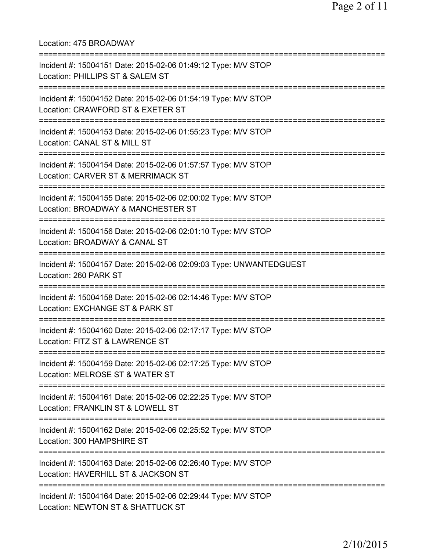Location: 475 BROADWAY =========================================================================== Incident #: 15004151 Date: 2015-02-06 01:49:12 Type: M/V STOP Location: PHILLIPS ST & SALEM ST =========================================================================== Incident #: 15004152 Date: 2015-02-06 01:54:19 Type: M/V STOP Location: CRAWFORD ST & EXETER ST =========================================================================== Incident #: 15004153 Date: 2015-02-06 01:55:23 Type: M/V STOP Location: CANAL ST & MILL ST =========================================================================== Incident #: 15004154 Date: 2015-02-06 01:57:57 Type: M/V STOP Location: CARVER ST & MERRIMACK ST =========================================================================== Incident #: 15004155 Date: 2015-02-06 02:00:02 Type: M/V STOP Location: BROADWAY & MANCHESTER ST =========================================================================== Incident #: 15004156 Date: 2015-02-06 02:01:10 Type: M/V STOP Location: BROADWAY & CANAL ST =========================================================================== Incident #: 15004157 Date: 2015-02-06 02:09:03 Type: UNWANTEDGUEST Location: 260 PARK ST =========================================================================== Incident #: 15004158 Date: 2015-02-06 02:14:46 Type: M/V STOP Location: EXCHANGE ST & PARK ST =========================================================================== Incident #: 15004160 Date: 2015-02-06 02:17:17 Type: M/V STOP Location: FITZ ST & LAWRENCE ST =========================================================================== Incident #: 15004159 Date: 2015-02-06 02:17:25 Type: M/V STOP Location: MELROSE ST & WATER ST =========================================================================== Incident #: 15004161 Date: 2015-02-06 02:22:25 Type: M/V STOP Location: FRANKLIN ST & LOWELL ST =========================================================================== Incident #: 15004162 Date: 2015-02-06 02:25:52 Type: M/V STOP Location: 300 HAMPSHIRE ST =========================================================================== Incident #: 15004163 Date: 2015-02-06 02:26:40 Type: M/V STOP Location: HAVERHILL ST & JACKSON ST =========================================================================== Incident #: 15004164 Date: 2015-02-06 02:29:44 Type: M/V STOP Location: NEWTON ST & SHATTUCK ST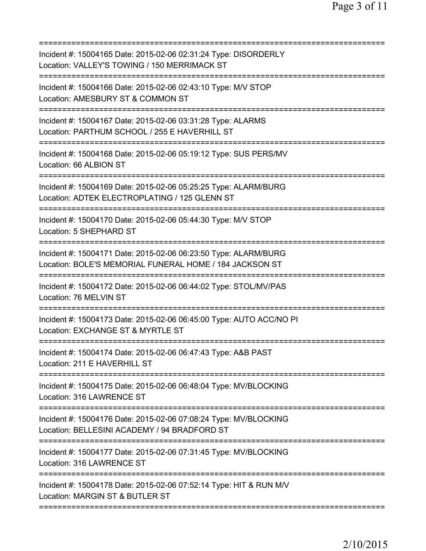| Incident #: 15004165 Date: 2015-02-06 02:31:24 Type: DISORDERLY<br>Location: VALLEY'S TOWING / 150 MERRIMACK ST                                         |
|---------------------------------------------------------------------------------------------------------------------------------------------------------|
| Incident #: 15004166 Date: 2015-02-06 02:43:10 Type: M/V STOP<br>Location: AMESBURY ST & COMMON ST                                                      |
| Incident #: 15004167 Date: 2015-02-06 03:31:28 Type: ALARMS<br>Location: PARTHUM SCHOOL / 255 E HAVERHILL ST<br>:======================                 |
| Incident #: 15004168 Date: 2015-02-06 05:19:12 Type: SUS PERS/MV<br>Location: 66 ALBION ST                                                              |
| Incident #: 15004169 Date: 2015-02-06 05:25:25 Type: ALARM/BURG<br>Location: ADTEK ELECTROPLATING / 125 GLENN ST                                        |
| Incident #: 15004170 Date: 2015-02-06 05:44:30 Type: M/V STOP<br>Location: 5 SHEPHARD ST                                                                |
| Incident #: 15004171 Date: 2015-02-06 06:23:50 Type: ALARM/BURG<br>Location: BOLE'S MEMORIAL FUNERAL HOME / 184 JACKSON ST                              |
| Incident #: 15004172 Date: 2015-02-06 06:44:02 Type: STOL/MV/PAS<br>Location: 76 MELVIN ST                                                              |
| Incident #: 15004173 Date: 2015-02-06 06:45:00 Type: AUTO ACC/NO PI<br>Location: EXCHANGE ST & MYRTLE ST                                                |
| Incident #: 15004174 Date: 2015-02-06 06:47:43 Type: A&B PAST<br>Location: 211 E HAVERHILL ST                                                           |
| Incident #: 15004175 Date: 2015-02-06 06:48:04 Type: MV/BLOCKING<br>Location: 316 LAWRENCE ST                                                           |
| Incident #: 15004176 Date: 2015-02-06 07:08:24 Type: MV/BLOCKING<br>Location: BELLESINI ACADEMY / 94 BRADFORD ST<br>=================================== |
| Incident #: 15004177 Date: 2015-02-06 07:31:45 Type: MV/BLOCKING<br>Location: 316 LAWRENCE ST                                                           |
| Incident #: 15004178 Date: 2015-02-06 07:52:14 Type: HIT & RUN M/V<br>Location: MARGIN ST & BUTLER ST                                                   |
|                                                                                                                                                         |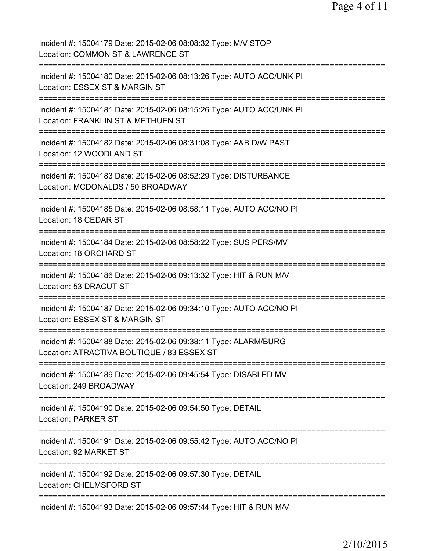Page 4 of 11

Incident #: 15004179 Date: 2015-02-06 08:08:32 Type: M/V STOP Location: COMMON ST & LAWRENCE ST =========================================================================== Incident #: 15004180 Date: 2015-02-06 08:13:26 Type: AUTO ACC/UNK PI Location: ESSEX ST & MARGIN ST =========================================================================== Incident #: 15004181 Date: 2015-02-06 08:15:26 Type: AUTO ACC/UNK PI Location: FRANKLIN ST & METHUEN ST =========================================================================== Incident #: 15004182 Date: 2015-02-06 08:31:08 Type: A&B D/W PAST Location: 12 WOODLAND ST =========================================================================== Incident #: 15004183 Date: 2015-02-06 08:52:29 Type: DISTURBANCE Location: MCDONALDS / 50 BROADWAY =========================================================================== Incident #: 15004185 Date: 2015-02-06 08:58:11 Type: AUTO ACC/NO PI Location: 18 CEDAR ST =========================================================================== Incident #: 15004184 Date: 2015-02-06 08:58:22 Type: SUS PERS/MV Location: 18 ORCHARD ST =========================================================================== Incident #: 15004186 Date: 2015-02-06 09:13:32 Type: HIT & RUN M/V Location: 53 DRACUT ST =========================================================================== Incident #: 15004187 Date: 2015-02-06 09:34:10 Type: AUTO ACC/NO PI Location: ESSEX ST & MARGIN ST =========================================================================== Incident #: 15004188 Date: 2015-02-06 09:38:11 Type: ALARM/BURG Location: ATRACTIVA BOUTIQUE / 83 ESSEX ST =========================================================================== Incident #: 15004189 Date: 2015-02-06 09:45:54 Type: DISABLED MV Location: 249 BROADWAY =========================================================================== Incident #: 15004190 Date: 2015-02-06 09:54:50 Type: DETAIL Location: PARKER ST =========================================================================== Incident #: 15004191 Date: 2015-02-06 09:55:42 Type: AUTO ACC/NO PI Location: 92 MARKET ST =========================================================================== Incident #: 15004192 Date: 2015-02-06 09:57:30 Type: DETAIL Location: CHELMSFORD ST =========================================================================== Incident #: 15004193 Date: 2015-02-06 09:57:44 Type: HIT & RUN M/V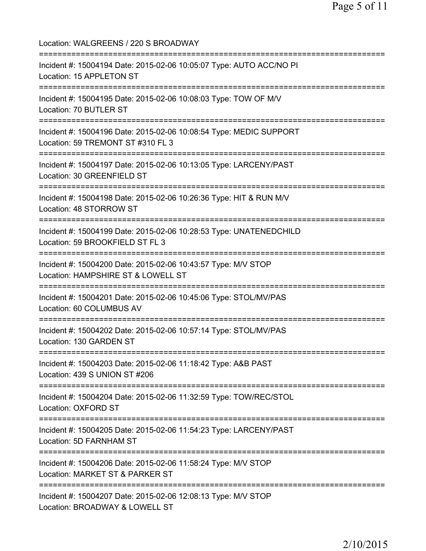Location: WALGREENS / 220 S BROADWAY =========================================================================== Incident #: 15004194 Date: 2015-02-06 10:05:07 Type: AUTO ACC/NO PI Location: 15 APPLETON ST =========================================================================== Incident #: 15004195 Date: 2015-02-06 10:08:03 Type: TOW OF M/V Location: 70 BUTLER ST =========================================================================== Incident #: 15004196 Date: 2015-02-06 10:08:54 Type: MEDIC SUPPORT Location: 59 TREMONT ST #310 FL 3 =========================================================================== Incident #: 15004197 Date: 2015-02-06 10:13:05 Type: LARCENY/PAST Location: 30 GREENFIELD ST =========================================================================== Incident #: 15004198 Date: 2015-02-06 10:26:36 Type: HIT & RUN M/V Location: 48 STORROW ST =========================================================================== Incident #: 15004199 Date: 2015-02-06 10:28:53 Type: UNATENEDCHILD Location: 59 BROOKFIELD ST FL 3 =========================================================================== Incident #: 15004200 Date: 2015-02-06 10:43:57 Type: M/V STOP Location: HAMPSHIRE ST & LOWELL ST =========================================================================== Incident #: 15004201 Date: 2015-02-06 10:45:06 Type: STOL/MV/PAS Location: 60 COLUMBUS AV =========================================================================== Incident #: 15004202 Date: 2015-02-06 10:57:14 Type: STOL/MV/PAS Location: 130 GARDEN ST =========================================================================== Incident #: 15004203 Date: 2015-02-06 11:18:42 Type: A&B PAST Location: 439 S UNION ST #206 =========================================================================== Incident #: 15004204 Date: 2015-02-06 11:32:59 Type: TOW/REC/STOL Location: OXFORD ST =========================================================================== Incident #: 15004205 Date: 2015-02-06 11:54:23 Type: LARCENY/PAST Location: 5D FARNHAM ST =========================================================================== Incident #: 15004206 Date: 2015-02-06 11:58:24 Type: M/V STOP Location: MARKET ST & PARKER ST =========================================================================== Incident #: 15004207 Date: 2015-02-06 12:08:13 Type: M/V STOP Location: BROADWAY & LOWELL ST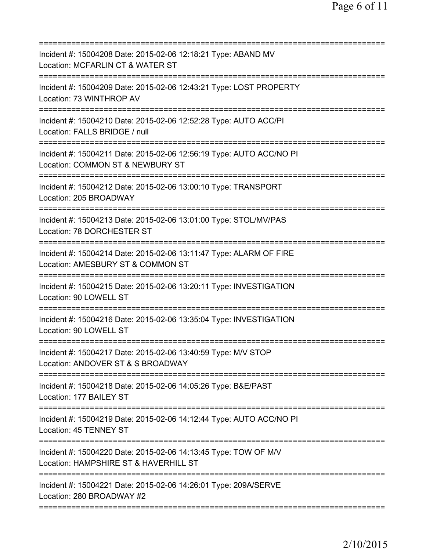| Incident #: 15004208 Date: 2015-02-06 12:18:21 Type: ABAND MV<br>Location: MCFARLIN CT & WATER ST<br>======================<br>:==========                          |
|---------------------------------------------------------------------------------------------------------------------------------------------------------------------|
| Incident #: 15004209 Date: 2015-02-06 12:43:21 Type: LOST PROPERTY<br>Location: 73 WINTHROP AV                                                                      |
| Incident #: 15004210 Date: 2015-02-06 12:52:28 Type: AUTO ACC/PI<br>Location: FALLS BRIDGE / null                                                                   |
| Incident #: 15004211 Date: 2015-02-06 12:56:19 Type: AUTO ACC/NO PI<br>Location: COMMON ST & NEWBURY ST                                                             |
| Incident #: 15004212 Date: 2015-02-06 13:00:10 Type: TRANSPORT<br>Location: 205 BROADWAY                                                                            |
| Incident #: 15004213 Date: 2015-02-06 13:01:00 Type: STOL/MV/PAS<br>Location: 78 DORCHESTER ST                                                                      |
| Incident #: 15004214 Date: 2015-02-06 13:11:47 Type: ALARM OF FIRE<br>Location: AMESBURY ST & COMMON ST<br>=================================<br>------------------- |
| Incident #: 15004215 Date: 2015-02-06 13:20:11 Type: INVESTIGATION<br>Location: 90 LOWELL ST                                                                        |
| Incident #: 15004216 Date: 2015-02-06 13:35:04 Type: INVESTIGATION<br>Location: 90 LOWELL ST                                                                        |
| Incident #: 15004217 Date: 2015-02-06 13:40:59 Type: M/V STOP<br>Location: ANDOVER ST & S BROADWAY                                                                  |
| Incident #: 15004218 Date: 2015-02-06 14:05:26 Type: B&E/PAST<br>Location: 177 BAILEY ST                                                                            |
| Incident #: 15004219 Date: 2015-02-06 14:12:44 Type: AUTO ACC/NO PI<br>Location: 45 TENNEY ST                                                                       |
| Incident #: 15004220 Date: 2015-02-06 14:13:45 Type: TOW OF M/V<br>Location: HAMPSHIRE ST & HAVERHILL ST                                                            |
| Incident #: 15004221 Date: 2015-02-06 14:26:01 Type: 209A/SERVE<br>Location: 280 BROADWAY #2                                                                        |
|                                                                                                                                                                     |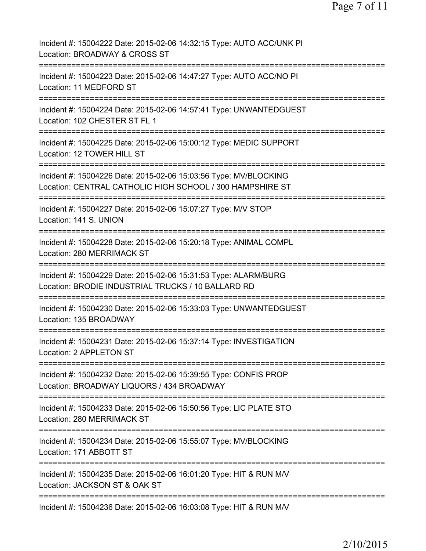Page 7 of 11

| Incident #: 15004222 Date: 2015-02-06 14:32:15 Type: AUTO ACC/UNK PI<br>Location: BROADWAY & CROSS ST                         |
|-------------------------------------------------------------------------------------------------------------------------------|
| Incident #: 15004223 Date: 2015-02-06 14:47:27 Type: AUTO ACC/NO PI<br>Location: 11 MEDFORD ST                                |
| Incident #: 15004224 Date: 2015-02-06 14:57:41 Type: UNWANTEDGUEST<br>Location: 102 CHESTER ST FL 1                           |
| Incident #: 15004225 Date: 2015-02-06 15:00:12 Type: MEDIC SUPPORT<br>Location: 12 TOWER HILL ST                              |
| Incident #: 15004226 Date: 2015-02-06 15:03:56 Type: MV/BLOCKING<br>Location: CENTRAL CATHOLIC HIGH SCHOOL / 300 HAMPSHIRE ST |
| Incident #: 15004227 Date: 2015-02-06 15:07:27 Type: M/V STOP<br>Location: 141 S. UNION                                       |
| Incident #: 15004228 Date: 2015-02-06 15:20:18 Type: ANIMAL COMPL<br>Location: 280 MERRIMACK ST<br>================           |
| Incident #: 15004229 Date: 2015-02-06 15:31:53 Type: ALARM/BURG<br>Location: BRODIE INDUSTRIAL TRUCKS / 10 BALLARD RD         |
| Incident #: 15004230 Date: 2015-02-06 15:33:03 Type: UNWANTEDGUEST<br>Location: 135 BROADWAY                                  |
| Incident #: 15004231 Date: 2015-02-06 15:37:14 Type: INVESTIGATION<br>Location: 2 APPLETON ST                                 |
| Incident #: 15004232 Date: 2015-02-06 15:39:55 Type: CONFIS PROP<br>Location: BROADWAY LIQUORS / 434 BROADWAY                 |
| Incident #: 15004233 Date: 2015-02-06 15:50:56 Type: LIC PLATE STO<br>Location: 280 MERRIMACK ST                              |
| Incident #: 15004234 Date: 2015-02-06 15:55:07 Type: MV/BLOCKING<br>Location: 171 ABBOTT ST                                   |
| Incident #: 15004235 Date: 2015-02-06 16:01:20 Type: HIT & RUN M/V<br>Location: JACKSON ST & OAK ST                           |
| Incident #: 15004236 Date: 2015-02-06 16:03:08 Type: HIT & RUN M/V                                                            |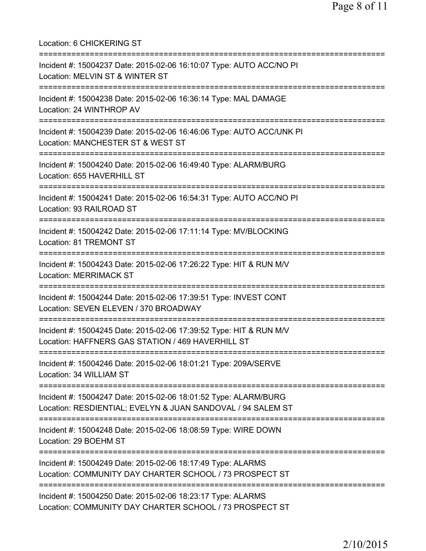Location: 6 CHICKERING ST =========================================================================== Incident #: 15004237 Date: 2015-02-06 16:10:07 Type: AUTO ACC/NO PI Location: MELVIN ST & WINTER ST =========================================================================== Incident #: 15004238 Date: 2015-02-06 16:36:14 Type: MAL DAMAGE Location: 24 WINTHROP AV =========================================================================== Incident #: 15004239 Date: 2015-02-06 16:46:06 Type: AUTO ACC/UNK PI Location: MANCHESTER ST & WEST ST =========================================================================== Incident #: 15004240 Date: 2015-02-06 16:49:40 Type: ALARM/BURG Location: 655 HAVERHILL ST =========================================================================== Incident #: 15004241 Date: 2015-02-06 16:54:31 Type: AUTO ACC/NO PI Location: 93 RAILROAD ST =========================================================================== Incident #: 15004242 Date: 2015-02-06 17:11:14 Type: MV/BLOCKING Location: 81 TREMONT ST =========================================================================== Incident #: 15004243 Date: 2015-02-06 17:26:22 Type: HIT & RUN M/V Location: MERRIMACK ST =========================================================================== Incident #: 15004244 Date: 2015-02-06 17:39:51 Type: INVEST CONT Location: SEVEN ELEVEN / 370 BROADWAY =========================================================================== Incident #: 15004245 Date: 2015-02-06 17:39:52 Type: HIT & RUN M/V Location: HAFFNERS GAS STATION / 469 HAVERHILL ST =========================================================================== Incident #: 15004246 Date: 2015-02-06 18:01:21 Type: 209A/SERVE Location: 34 WILLIAM ST =========================================================================== Incident #: 15004247 Date: 2015-02-06 18:01:52 Type: ALARM/BURG Location: RESDIENTIAL; EVELYN & JUAN SANDOVAL / 94 SALEM ST =========================================================================== Incident #: 15004248 Date: 2015-02-06 18:08:59 Type: WIRE DOWN Location: 29 BOEHM ST =========================================================================== Incident #: 15004249 Date: 2015-02-06 18:17:49 Type: ALARMS Location: COMMUNITY DAY CHARTER SCHOOL / 73 PROSPECT ST =========================================================================== Incident #: 15004250 Date: 2015-02-06 18:23:17 Type: ALARMS Location: COMMUNITY DAY CHARTER SCHOOL / 73 PROSPECT ST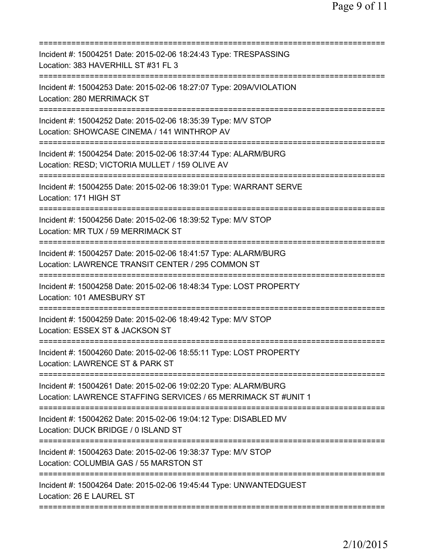| Incident #: 15004251 Date: 2015-02-06 18:24:43 Type: TRESPASSING<br>Location: 383 HAVERHILL ST #31 FL 3                           |
|-----------------------------------------------------------------------------------------------------------------------------------|
| Incident #: 15004253 Date: 2015-02-06 18:27:07 Type: 209A/VIOLATION<br>Location: 280 MERRIMACK ST                                 |
| Incident #: 15004252 Date: 2015-02-06 18:35:39 Type: M/V STOP<br>Location: SHOWCASE CINEMA / 141 WINTHROP AV                      |
| Incident #: 15004254 Date: 2015-02-06 18:37:44 Type: ALARM/BURG<br>Location: RESD; VICTORIA MULLET / 159 OLIVE AV                 |
| Incident #: 15004255 Date: 2015-02-06 18:39:01 Type: WARRANT SERVE<br>Location: 171 HIGH ST                                       |
| Incident #: 15004256 Date: 2015-02-06 18:39:52 Type: M/V STOP<br>Location: MR TUX / 59 MERRIMACK ST                               |
| Incident #: 15004257 Date: 2015-02-06 18:41:57 Type: ALARM/BURG<br>Location: LAWRENCE TRANSIT CENTER / 295 COMMON ST              |
| Incident #: 15004258 Date: 2015-02-06 18:48:34 Type: LOST PROPERTY<br>Location: 101 AMESBURY ST<br>===========                    |
| Incident #: 15004259 Date: 2015-02-06 18:49:42 Type: M/V STOP<br>Location: ESSEX ST & JACKSON ST                                  |
| Incident #: 15004260 Date: 2015-02-06 18:55:11 Type: LOST PROPERTY<br>Location: LAWRENCE ST & PARK ST                             |
| Incident #: 15004261 Date: 2015-02-06 19:02:20 Type: ALARM/BURG<br>Location: LAWRENCE STAFFING SERVICES / 65 MERRIMACK ST #UNIT 1 |
| Incident #: 15004262 Date: 2015-02-06 19:04:12 Type: DISABLED MV<br>Location: DUCK BRIDGE / 0 ISLAND ST                           |
| Incident #: 15004263 Date: 2015-02-06 19:38:37 Type: M/V STOP<br>Location: COLUMBIA GAS / 55 MARSTON ST                           |
| Incident #: 15004264 Date: 2015-02-06 19:45:44 Type: UNWANTEDGUEST<br>Location: 26 E LAUREL ST                                    |
|                                                                                                                                   |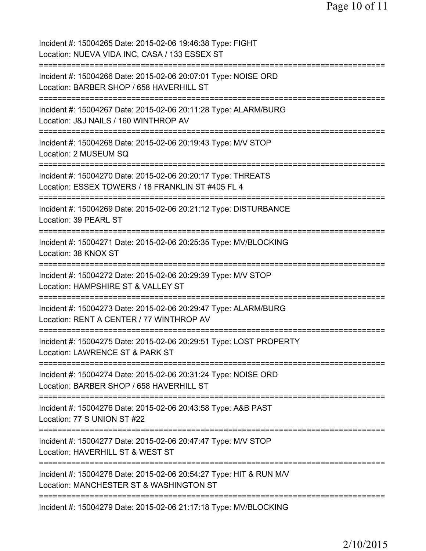Incident #: 15004265 Date: 2015-02-06 19:46:38 Type: FIGHT Location: NUEVA VIDA INC, CASA / 133 ESSEX ST =========================================================================== Incident #: 15004266 Date: 2015-02-06 20:07:01 Type: NOISE ORD Location: BARBER SHOP / 658 HAVERHILL ST =========================================================================== Incident #: 15004267 Date: 2015-02-06 20:11:28 Type: ALARM/BURG Location: J&J NAILS / 160 WINTHROP AV =========================================================================== Incident #: 15004268 Date: 2015-02-06 20:19:43 Type: M/V STOP Location: 2 MUSEUM SQ =========================================================================== Incident #: 15004270 Date: 2015-02-06 20:20:17 Type: THREATS Location: ESSEX TOWERS / 18 FRANKLIN ST #405 FL 4 =========================================================================== Incident #: 15004269 Date: 2015-02-06 20:21:12 Type: DISTURBANCE Location: 39 PEARL ST =========================================================================== Incident #: 15004271 Date: 2015-02-06 20:25:35 Type: MV/BLOCKING Location: 38 KNOX ST =========================================================================== Incident #: 15004272 Date: 2015-02-06 20:29:39 Type: M/V STOP Location: HAMPSHIRE ST & VALLEY ST =========================================================================== Incident #: 15004273 Date: 2015-02-06 20:29:47 Type: ALARM/BURG Location: RENT A CENTER / 77 WINTHROP AV =========================================================================== Incident #: 15004275 Date: 2015-02-06 20:29:51 Type: LOST PROPERTY Location: LAWRENCE ST & PARK ST =========================================================================== Incident #: 15004274 Date: 2015-02-06 20:31:24 Type: NOISE ORD Location: BARBER SHOP / 658 HAVERHILL ST =========================================================================== Incident #: 15004276 Date: 2015-02-06 20:43:58 Type: A&B PAST Location: 77 S UNION ST #22 =========================================================================== Incident #: 15004277 Date: 2015-02-06 20:47:47 Type: M/V STOP Location: HAVERHILL ST & WEST ST =========================================================================== Incident #: 15004278 Date: 2015-02-06 20:54:27 Type: HIT & RUN M/V Location: MANCHESTER ST & WASHINGTON ST =========================================================================== Incident #: 15004279 Date: 2015-02-06 21:17:18 Type: MV/BLOCKING